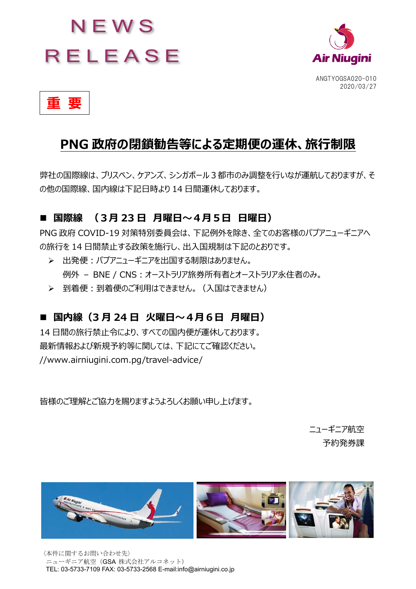# NEWS **RELEASE**



 **重 要** 

# PNG 政府の閉鎖勧告等による定期便の運休、旅行制限

弊社の国際線は、ブリスベン、ケアンズ、シンガポール3都市のみ調整を行いなが運航しておりますが、そ の他の国際線、国内線は下記日時より 14 日間運休しております。

## ■ 国際線 (3月 23 日 月曜日〜4月5日 日曜日)

PNG 政府 COVID-19 対策特別委員会は、下記例外を除き、全てのお客様のパプアニューギニアへ の旅行を 14 日間禁止する政策を施行し、出入国規制は下記のとおりです。

- ▶ 出発便:パプアニューギニアを出国する制限はありません。 例外 – BNE / CNS : オーストラリア旅券所有者とオーストラリア永住者のみ。
- > 到着便:到着便のご利用はできません。(入国はできません)

## ■ 国内線 (3月24日 火曜日〜4月6日 月曜日)

14 日間の旅行禁止令により、すべての国内便が運休しております。 最新情報および新規予約等に関しては、下記にてご確認ください。 //www.airniugini.com.pg/travel-advice/

皆様のご理解とご協⼒を賜りますようよろしくお願い申し上げます。

ニューギニア航空 予約発券課



〈本件に関するお問い合わせ先〉 ニューギニア航空 (GSA 株式会社アルコネット) TEL: 03-5733-7109 FAX: 03-5733-2568 E-mail:info@airniugini.co.jp